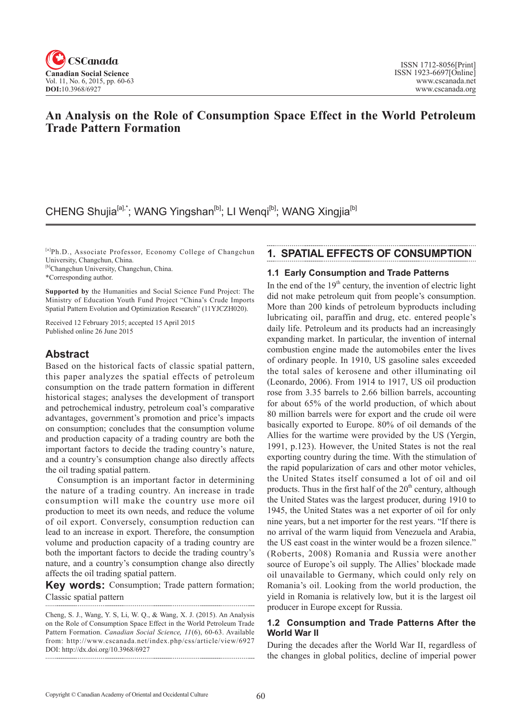

## **An Analysis on the Role of Consumption Space Effect in the World Petroleum Trade Pattern Formation**

## CHENG Shujia<sup>[a],\*</sup>; WANG Yingshan<sup>[b]</sup>; LI Wengi<sup>[b]</sup>; WANG Xingjia<sup>[b]</sup>

[a]Ph.D., Associate Professor, Economy College of Changchun University, Changchun, China.

[b]Changchun University, Changchun, China.

\*Corresponding author.

**Supported by** the Humanities and Social Science Fund Project: The Ministry of Education Youth Fund Project "China's Crude Imports Spatial Pattern Evolution and Optimization Research" (11YJCZH020).

Received 12 February 2015; accepted 15 April 2015 Published online 26 June 2015

### **Abstract**

Based on the historical facts of classic spatial pattern, this paper analyzes the spatial effects of petroleum consumption on the trade pattern formation in different historical stages; analyses the development of transport and petrochemical industry, petroleum coal's comparative advantages, government's promotion and price's impacts on consumption; concludes that the consumption volume and production capacity of a trading country are both the important factors to decide the trading country's nature, and a country's consumption change also directly affects the oil trading spatial pattern.

Consumption is an important factor in determining the nature of a trading country. An increase in trade consumption will make the country use more oil production to meet its own needs, and reduce the volume of oil export. Conversely, consumption reduction can lead to an increase in export. Therefore, the consumption volume and production capacity of a trading country are both the important factors to decide the trading country's nature, and a country's consumption change also directly affects the oil trading spatial pattern.

**Key words:** Consumption; Trade pattern formation; Classic spatial pattern

Cheng, S. J., Wang, Y. S, Li, W. Q., & Wang, X. J. (2015). An Analysis on the Role of Consumption Space Effect in the World Petroleum Trade Pattern Formation. *Canadian Social Science*, <sup>11</sup>(6), 60-63. Available from: http://www.cscanada.net/index.php/css/article/view/6927 DOI: http://dx.doi.org/10.3968/6927

### **1. SPATIAL EFFECTS OF CONSUMPTION**

#### **1.1 Early Consumption and Trade Patterns**

In the end of the  $19<sup>th</sup>$  century, the invention of electric light did not make petroleum quit from people's consumption. More than 200 kinds of petroleum byproducts including lubricating oil, paraffin and drug, etc. entered people's daily life. Petroleum and its products had an increasingly expanding market. In particular, the invention of internal combustion engine made the automobiles enter the lives of ordinary people. In 1910, US gasoline sales exceeded the total sales of kerosene and other illuminating oil (Leonardo, 2006). From 1914 to 1917, US oil production rose from 3.35 barrels to 2.66 billion barrels, accounting for about 65% of the world production, of which about 80 million barrels were for export and the crude oil were basically exported to Europe. 80% of oil demands of the Allies for the wartime were provided by the US (Yergin, 1991, p.123). However, the United States is not the real exporting country during the time. With the stimulation of the rapid popularization of cars and other motor vehicles, the United States itself consumed a lot of oil and oil products. Thus in the first half of the  $20<sup>th</sup>$  century, although the United States was the largest producer, during 1910 to 1945, the United States was a net exporter of oil for only nine years, but a net importer for the rest years. "If there is no arrival of the warm liquid from Venezuela and Arabia, the US east coast in the winter would be a frozen silence." (Roberts, 2008) Romania and Russia were another source of Europe's oil supply. The Allies' blockade made oil unavailable to Germany, which could only rely on Romania's oil. Looking from the world production, the yield in Romania is relatively low, but it is the largest oil producer in Europe except for Russia.

#### **1.2 Consumption and Trade Patterns After the World War II**

During the decades after the World War II, regardless of the changes in global politics, decline of imperial power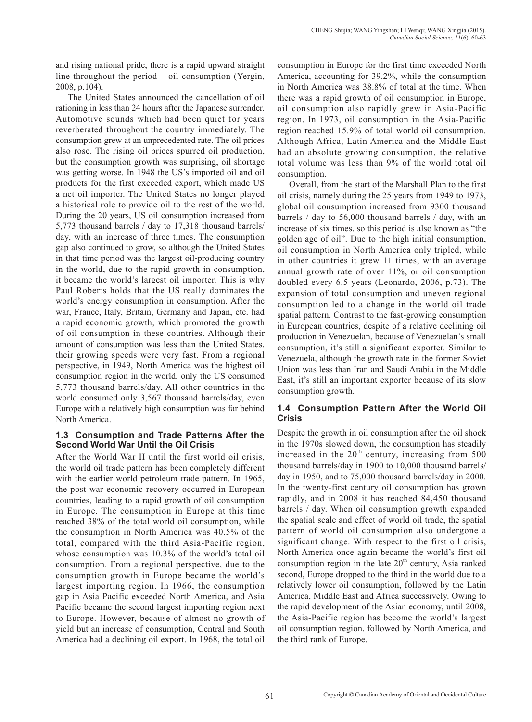and rising national pride, there is a rapid upward straight line throughout the period – oil consumption (Yergin, 2008, p.104).

The United States announced the cancellation of oil rationing in less than 24 hours after the Japanese surrender. Automotive sounds which had been quiet for years reverberated throughout the country immediately. The consumption grew at an unprecedented rate. The oil prices also rose. The rising oil prices spurred oil production, but the consumption growth was surprising, oil shortage was getting worse. In 1948 the US's imported oil and oil products for the first exceeded export, which made US a net oil importer. The United States no longer played a historical role to provide oil to the rest of the world. During the 20 years, US oil consumption increased from 5,773 thousand barrels / day to 17,318 thousand barrels/ day, with an increase of three times. The consumption gap also continued to grow, so although the United States in that time period was the largest oil-producing country in the world, due to the rapid growth in consumption, it became the world's largest oil importer. This is why Paul Roberts holds that the US really dominates the world's energy consumption in consumption. After the war, France, Italy, Britain, Germany and Japan, etc. had a rapid economic growth, which promoted the growth of oil consumption in these countries. Although their amount of consumption was less than the United States, their growing speeds were very fast. From a regional perspective, in 1949, North America was the highest oil consumption region in the world, only the US consumed 5,773 thousand barrels/day. All other countries in the world consumed only 3,567 thousand barrels/day, even Europe with a relatively high consumption was far behind North America.

#### **1.3 Consumption and Trade Patterns After the Second World War Until the Oil Crisis**

After the World War II until the first world oil crisis, the world oil trade pattern has been completely different with the earlier world petroleum trade pattern. In 1965, the post-war economic recovery occurred in European countries, leading to a rapid growth of oil consumption in Europe. The consumption in Europe at this time reached 38% of the total world oil consumption, while the consumption in North America was 40.5% of the total, compared with the third Asia-Pacific region, whose consumption was 10.3% of the world's total oil consumption. From a regional perspective, due to the consumption growth in Europe became the world's largest importing region. In 1966, the consumption gap in Asia Pacific exceeded North America, and Asia Pacific became the second largest importing region next to Europe. However, because of almost no growth of yield but an increase of consumption, Central and South America had a declining oil export. In 1968, the total oil consumption in Europe for the first time exceeded North America, accounting for 39.2%, while the consumption in North America was 38.8% of total at the time. When there was a rapid growth of oil consumption in Europe, oil consumption also rapidly grew in Asia-Pacific region. In 1973, oil consumption in the Asia-Pacific region reached 15.9% of total world oil consumption. Although Africa, Latin America and the Middle East had an absolute growing consumption, the relative total volume was less than 9% of the world total oil consumption.

Overall, from the start of the Marshall Plan to the first oil crisis, namely during the 25 years from 1949 to 1973, global oil consumption increased from 9300 thousand barrels / day to 56,000 thousand barrels / day, with an increase of six times, so this period is also known as "the golden age of oil". Due to the high initial consumption, oil consumption in North America only tripled, while in other countries it grew 11 times, with an average annual growth rate of over 11%, or oil consumption doubled every 6.5 years (Leonardo, 2006, p.73). The expansion of total consumption and uneven regional consumption led to a change in the world oil trade spatial pattern. Contrast to the fast-growing consumption in European countries, despite of a relative declining oil production in Venezuelan, because of Venezuelan's small consumption, it's still a significant exporter. Similar to Venezuela, although the growth rate in the former Soviet Union was less than Iran and Saudi Arabia in the Middle East, it's still an important exporter because of its slow consumption growth.

#### **1.4 Consumption Pattern After the World Oil Crisis**

Despite the growth in oil consumption after the oil shock in the 1970s slowed down, the consumption has steadily increased in the  $20<sup>th</sup>$  century, increasing from 500 thousand barrels/day in 1900 to 10,000 thousand barrels/ day in 1950, and to 75,000 thousand barrels/day in 2000. In the twenty-first century oil consumption has grown rapidly, and in 2008 it has reached 84,450 thousand barrels / day. When oil consumption growth expanded the spatial scale and effect of world oil trade, the spatial pattern of world oil consumption also undergone a significant change. With respect to the first oil crisis, North America once again became the world's first oil consumption region in the late  $20<sup>th</sup>$  century, Asia ranked second, Europe dropped to the third in the world due to a relatively lower oil consumption, followed by the Latin America, Middle East and Africa successively. Owing to the rapid development of the Asian economy, until 2008, the Asia-Pacific region has become the world's largest oil consumption region, followed by North America, and the third rank of Europe.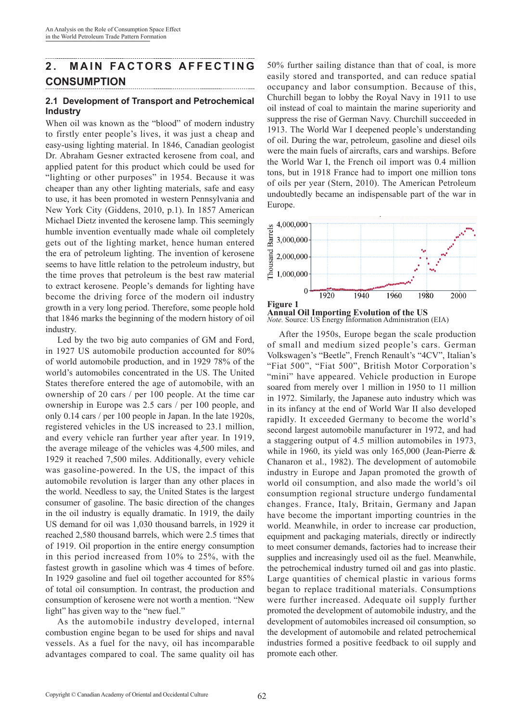# **2. MAIN FACTORS AFFECTING CONSUMPTION**

#### **2.1 Development of Transport and Petrochemical Industry**

When oil was known as the "blood" of modern industry to firstly enter people's lives, it was just a cheap and easy-using lighting material. In 1846, Canadian geologist Dr. Abraham Gesner extracted kerosene from coal, and applied patent for this product which could be used for "lighting or other purposes" in 1954. Because it was cheaper than any other lighting materials, safe and easy to use, it has been promoted in western Pennsylvania and New York City (Giddens, 2010, p.1). In 1857 American Michael Dietz invented the kerosene lamp. This seemingly humble invention eventually made whale oil completely gets out of the lighting market, hence human entered the era of petroleum lighting. The invention of kerosene seems to have little relation to the petroleum industry, but the time proves that petroleum is the best raw material to extract kerosene. People's demands for lighting have become the driving force of the modern oil industry growth in a very long period. Therefore, some people hold that 1846 marks the beginning of the modern history of oil industry.

Led by the two big auto companies of GM and Ford, in 1927 US automobile production accounted for 80% of world automobile production, and in 1929 78% of the world's automobiles concentrated in the US. The United States therefore entered the age of automobile, with an ownership of 20 cars / per 100 people. At the time car ownership in Europe was 2.5 cars / per 100 people, and only 0.14 cars / per 100 people in Japan. In the late 1920s, registered vehicles in the US increased to 23.1 million, and every vehicle ran further year after year. In 1919, the average mileage of the vehicles was 4,500 miles, and 1929 it reached 7,500 miles. Additionally, every vehicle was gasoline-powered. In the US, the impact of this automobile revolution is larger than any other places in the world. Needless to say, the United States is the largest consumer of gasoline. The basic direction of the changes in the oil industry is equally dramatic. In 1919, the daily US demand for oil was 1,030 thousand barrels, in 1929 it reached 2,580 thousand barrels, which were 2.5 times that of 1919. Oil proportion in the entire energy consumption in this period increased from 10% to 25%, with the fastest growth in gasoline which was 4 times of before. In 1929 gasoline and fuel oil together accounted for 85% of total oil consumption. In contrast, the production and consumption of kerosene were not worth a mention. "New light" has given way to the "new fuel."

As the automobile industry developed, internal combustion engine began to be used for ships and naval vessels. As a fuel for the navy, oil has incomparable advantages compared to coal. The same quality oil has

50% further sailing distance than that of coal, is more easily stored and transported, and can reduce spatial occupancy and labor consumption. Because of this, Churchill began to lobby the Royal Navy in 1911 to use oil instead of coal to maintain the marine superiority and suppress the rise of German Navy. Churchill succeeded in 1913. The World War I deepened people's understanding of oil. During the war, petroleum, gasoline and diesel oils were the main fuels of aircrafts, cars and warships. Before the World War I, the French oil import was 0.4 million tons, but in 1918 France had to import one million tons of oils per year (Stern, 2010). The American Petroleum undoubtedly became an indispensable part of the war in Europe.





After the 1950s, Europe began the scale production of small and medium sized people's cars. German Volkswagen's "Beetle", French Renault's "4CV", Italian's "Fiat 500", "Fiat 500", British Motor Corporation's "mini" have appeared. Vehicle production in Europe soared from merely over 1 million in 1950 to 11 million in 1972. Similarly, the Japanese auto industry which was in its infancy at the end of World War II also developed rapidly. It exceeded Germany to become the world's second largest automobile manufacturer in 1972, and had a staggering output of 4.5 million automobiles in 1973, while in 1960, its yield was only 165,000 (Jean-Pierre & Chanaron et al., 1982). The development of automobile industry in Europe and Japan promoted the growth of world oil consumption, and also made the world's oil consumption regional structure undergo fundamental changes. France, Italy, Britain, Germany and Japan have become the important importing countries in the world. Meanwhile, in order to increase car production, equipment and packaging materials, directly or indirectly to meet consumer demands, factories had to increase their supplies and increasingly used oil as the fuel. Meanwhile, the petrochemical industry turned oil and gas into plastic. Large quantities of chemical plastic in various forms began to replace traditional materials. Consumptions were further increased. Adequate oil supply further promoted the development of automobile industry, and the development of automobiles increased oil consumption, so the development of automobile and related petrochemical industries formed a positive feedback to oil supply and promote each other.